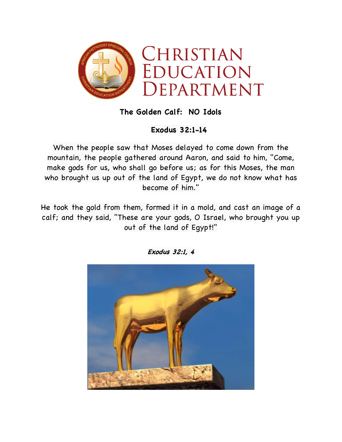

## **The Golden Calf: NO Idols**

## **Exodus 32:1-14**

When the people saw that Moses delayed to come down from the mountain, the people gathered around Aaron, and said to him, "Come, make gods for us, who shall go before us; as for this Moses, the man who brought us up out of the land of Egypt, we do not know what has become of him."

He took the gold from them, formed it in a mold, and cast an image of a calf; and they said, "These are your gods, O Israel, who brought you up out of the land of Egypt!"



**Exodus 32:1, 4**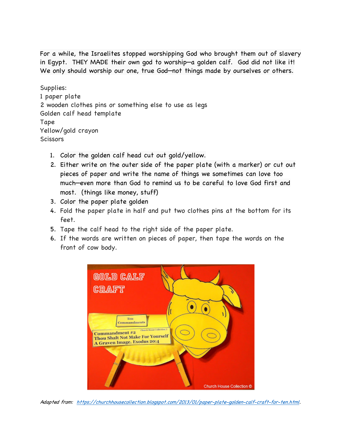For a while, the Israelites stopped worshipping God who brought them out of slavery in Egypt. THEY MADE their own god to worship—a golden calf. God did not like it! We only should worship our one, true God—not things made by ourselves or others.

Supplies: 1 paper plate 2 wooden clothes pins or something else to use as legs Golden calf head template Tape Yellow/gold crayon **Scissors** 

- 1. Color the golden calf head cut out gold/yellow.
- 2. Either write on the outer side of the paper plate (with a marker) or cut out pieces of paper and write the name of things we sometimes can love too much—even more than God to remind us to be careful to love God first and most. (things like money, stuff)
- 3. Color the paper plate golden
- 4. Fold the paper plate in half and put two clothes pins at the bottom for its feet.
- 5. Tape the calf head to the right side of the paper plate.
- 6. If the words are written on pieces of paper, then tape the words on the front of cow body.



Adapted from: https://churchhousecollection.blogspot.com/2013/01/paper-plate-golden-calf-craft-for-ten.html.